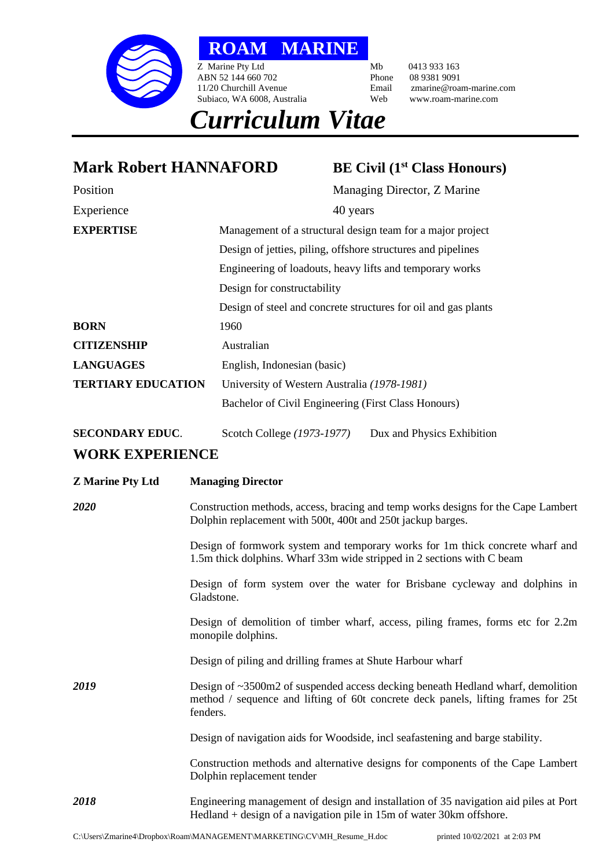

**ROAM MARINE**

Z Marine Pty Ltd<br>
ABN 52 144 660 702<br>
Phone 08 9381 9091 ABN 52 144 660 702<br>11/20 Churchill Avenue Subiaco, WA 6008, Australia

Email zmarine@roam-marine.com<br>Web www.roam-marine.com

## *Curriculum Vitae*

**Mark Robert HANNAFORD BE Civil (1st Class Honours)** Position Managing Director, Z Marine Experience 40 years 40 **EXPERTISE** Management of a structural design team for a major project Design of jetties, piling, offshore structures and pipelines Engineering of loadouts, heavy lifts and temporary works Design for constructability Design of steel and concrete structures for oil and gas plants **BORN** 1960 **CITIZENSHIP** Australian **LANGUAGES** English, Indonesian (basic) **TERTIARY EDUCATION** University of Western Australia *(1978-1981)* Bachelor of Civil Engineering (First Class Honours) **SECONDARY EDUC**. Scotch College *(1973-1977)* Dux and Physics Exhibition **WORK EXPERIENCE Z Marine Pty Ltd Managing Director** 

*2020* Construction methods, access, bracing and temp works designs for the Cape Lambert Dolphin replacement with 500t, 400t and 250t jackup barges.

> Design of formwork system and temporary works for 1m thick concrete wharf and 1.5m thick dolphins. Wharf 33m wide stripped in 2 sections with C beam

> Design of form system over the water for Brisbane cycleway and dolphins in Gladstone.

> Design of demolition of timber wharf, access, piling frames, forms etc for 2.2m monopile dolphins.

Design of piling and drilling frames at Shute Harbour wharf

*2019* Design of ~3500m2 of suspended access decking beneath Hedland wharf, demolition method / sequence and lifting of 60t concrete deck panels, lifting frames for 25t fenders.

Design of navigation aids for Woodside, incl seafastening and barge stability.

Construction methods and alternative designs for components of the Cape Lambert Dolphin replacement tender

*2018* Engineering management of design and installation of 35 navigation aid piles at Port Hedland + design of a navigation pile in 15m of water 30km offshore.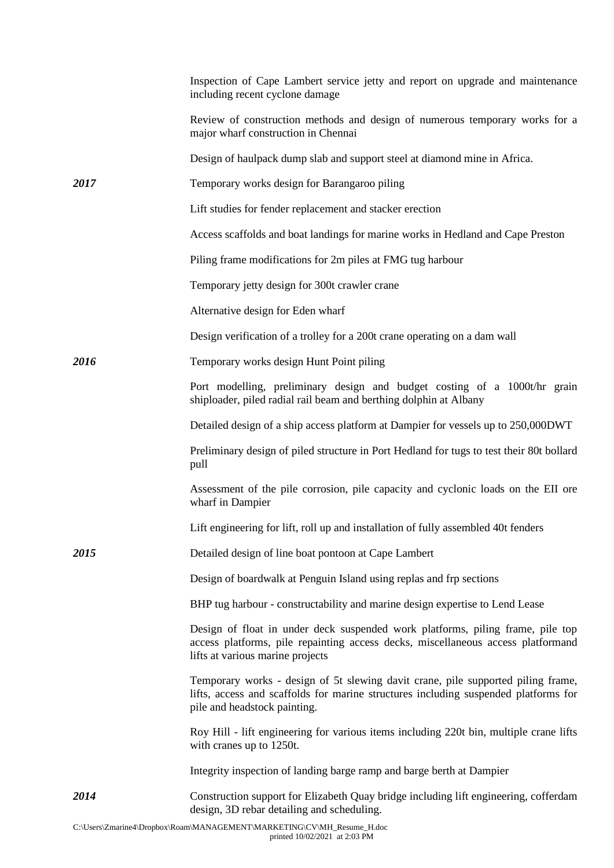|      | Inspection of Cape Lambert service jetty and report on upgrade and maintenance<br>including recent cyclone damage                                                                                       |
|------|---------------------------------------------------------------------------------------------------------------------------------------------------------------------------------------------------------|
|      | Review of construction methods and design of numerous temporary works for a<br>major wharf construction in Chennai                                                                                      |
|      | Design of haulpack dump slab and support steel at diamond mine in Africa.                                                                                                                               |
| 2017 | Temporary works design for Barangaroo piling                                                                                                                                                            |
|      | Lift studies for fender replacement and stacker erection                                                                                                                                                |
|      | Access scaffolds and boat landings for marine works in Hedland and Cape Preston                                                                                                                         |
|      | Piling frame modifications for 2m piles at FMG tug harbour                                                                                                                                              |
|      | Temporary jetty design for 300t crawler crane                                                                                                                                                           |
|      | Alternative design for Eden wharf                                                                                                                                                                       |
|      | Design verification of a trolley for a 200t crane operating on a dam wall                                                                                                                               |
| 2016 | Temporary works design Hunt Point piling                                                                                                                                                                |
|      | Port modelling, preliminary design and budget costing of a 1000t/hr grain<br>shiploader, piled radial rail beam and berthing dolphin at Albany                                                          |
|      | Detailed design of a ship access platform at Dampier for vessels up to 250,000DWT                                                                                                                       |
|      | Preliminary design of piled structure in Port Hedland for tugs to test their 80t bollard<br>pull                                                                                                        |
|      | Assessment of the pile corrosion, pile capacity and cyclonic loads on the EII ore<br>wharf in Dampier                                                                                                   |
|      | Lift engineering for lift, roll up and installation of fully assembled 40t fenders                                                                                                                      |
| 2015 | Detailed design of line boat pontoon at Cape Lambert                                                                                                                                                    |
|      | Design of boardwalk at Penguin Island using replas and frp sections                                                                                                                                     |
|      | BHP tug harbour - constructability and marine design expertise to Lend Lease                                                                                                                            |
|      | Design of float in under deck suspended work platforms, piling frame, pile top<br>access platforms, pile repainting access decks, miscellaneous access platformand<br>lifts at various marine projects  |
|      | Temporary works - design of 5t slewing davit crane, pile supported piling frame,<br>lifts, access and scaffolds for marine structures including suspended platforms for<br>pile and headstock painting. |
|      | Roy Hill - lift engineering for various items including 220t bin, multiple crane lifts<br>with cranes up to 1250t.                                                                                      |
|      | Integrity inspection of landing barge ramp and barge berth at Dampier                                                                                                                                   |
| 2014 | Construction support for Elizabeth Quay bridge including lift engineering, cofferdam<br>design, 3D rebar detailing and scheduling.                                                                      |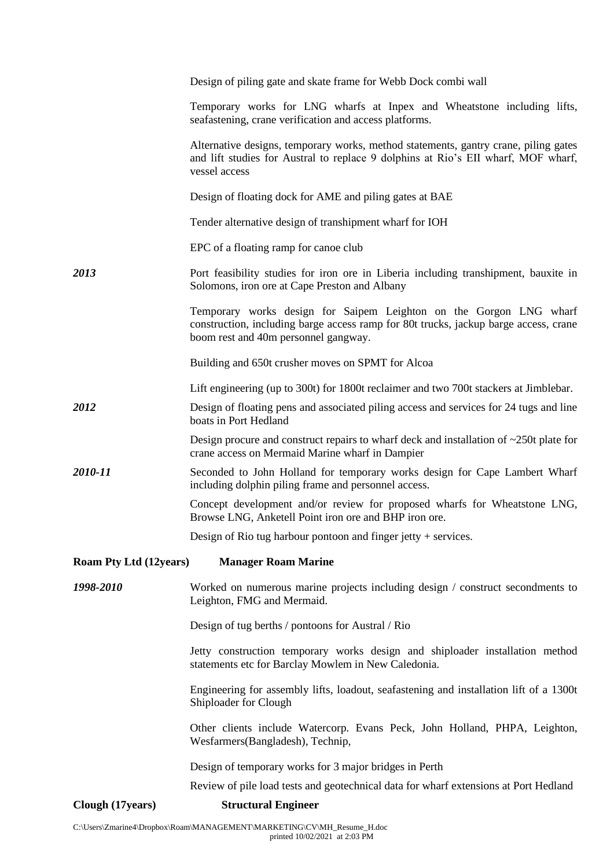|                                                             | Design of piling gate and skate frame for Webb Dock combi wall                                                                                                                                     |  |
|-------------------------------------------------------------|----------------------------------------------------------------------------------------------------------------------------------------------------------------------------------------------------|--|
|                                                             | Temporary works for LNG wharfs at Inpex and Wheatstone including lifts,<br>seafastening, crane verification and access platforms.                                                                  |  |
|                                                             | Alternative designs, temporary works, method statements, gantry crane, piling gates<br>and lift studies for Austral to replace 9 dolphins at Rio's EII wharf, MOF wharf,<br>vessel access          |  |
|                                                             | Design of floating dock for AME and piling gates at BAE                                                                                                                                            |  |
|                                                             | Tender alternative design of transhipment wharf for IOH                                                                                                                                            |  |
|                                                             | EPC of a floating ramp for canoe club                                                                                                                                                              |  |
| 2013                                                        | Port feasibility studies for iron ore in Liberia including transhipment, bauxite in<br>Solomons, iron ore at Cape Preston and Albany                                                               |  |
|                                                             | Temporary works design for Saipem Leighton on the Gorgon LNG wharf<br>construction, including barge access ramp for 80t trucks, jackup barge access, crane<br>boom rest and 40m personnel gangway. |  |
|                                                             | Building and 650t crusher moves on SPMT for Alcoa                                                                                                                                                  |  |
|                                                             | Lift engineering (up to 300t) for 1800t reclaimer and two 700t stackers at Jimblebar.                                                                                                              |  |
| 2012                                                        | Design of floating pens and associated piling access and services for 24 tugs and line<br>boats in Port Hedland                                                                                    |  |
|                                                             | Design procure and construct repairs to wharf deck and installation of $\sim$ 250t plate for<br>crane access on Mermaid Marine wharf in Dampier                                                    |  |
| 2010-11                                                     | Seconded to John Holland for temporary works design for Cape Lambert Wharf<br>including dolphin piling frame and personnel access.                                                                 |  |
|                                                             | Concept development and/or review for proposed wharfs for Wheatstone LNG,<br>Browse LNG, Anketell Point iron ore and BHP iron ore.                                                                 |  |
|                                                             | Design of Rio tug harbour pontoon and finger jetty $+$ services.                                                                                                                                   |  |
| <b>Roam Pty Ltd (12years)</b><br><b>Manager Roam Marine</b> |                                                                                                                                                                                                    |  |
| 1998-2010                                                   | Worked on numerous marine projects including design / construct secondments to<br>Leighton, FMG and Mermaid.                                                                                       |  |
|                                                             | Design of tug berths / pontoons for Austral / Rio                                                                                                                                                  |  |
|                                                             | Jetty construction temporary works design and shiploader installation method<br>statements etc for Barclay Mowlem in New Caledonia.                                                                |  |
|                                                             | Engineering for assembly lifts, loadout, seafastening and installation lift of a 1300t<br>Shiploader for Clough                                                                                    |  |
|                                                             | Other clients include Watercorp. Evans Peck, John Holland, PHPA, Leighton,<br>Wesfarmers (Bangladesh), Technip,                                                                                    |  |
|                                                             | Design of temporary works for 3 major bridges in Perth                                                                                                                                             |  |
|                                                             | Review of pile load tests and geotechnical data for wharf extensions at Port Hedland                                                                                                               |  |
| Clough (17years)                                            | <b>Structural Engineer</b>                                                                                                                                                                         |  |